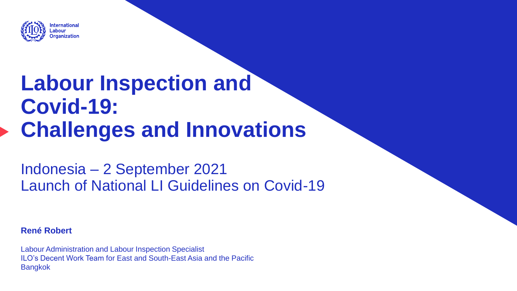

# **Labour Inspection and Covid-19: Challenges and Innovations**

Indonesia – 2 September 2021 Launch of National LI Guidelines on Covid-19

**René Robert**

Labour Administration and Labour Inspection Specialist ILO's Decent Work Team for East and South-East Asia and the Pacific Bangkok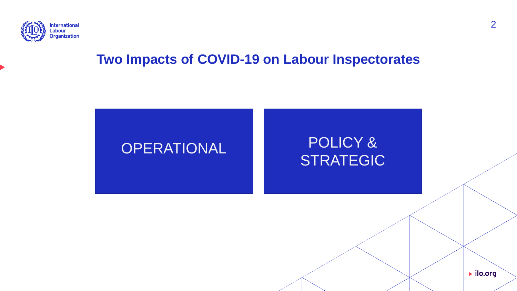

#### **Two Impacts of COVID-19 on Labour Inspectorates**

## OPERATIONAL POLICY & STRATEGIC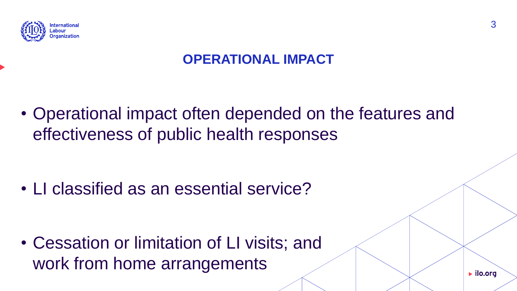

#### **OPERATIONAL IMPACT**

• Operational impact often depended on the features and effectiveness of public health responses

• LI classified as an essential service?

• Cessation or limitation of LI visits; and work from home arrangements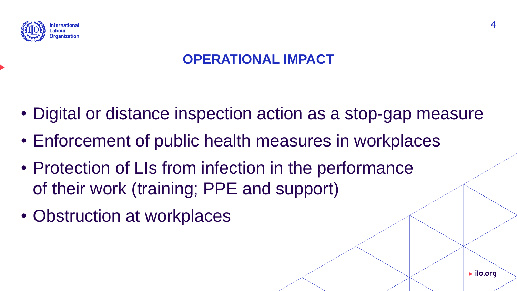

#### **OPERATIONAL IMPACT**

- Digital or distance inspection action as a stop-gap measure
- Enforcement of public health measures in workplaces
- Protection of LIs from infection in the performance of their work (training; PPE and support)
- Obstruction at workplaces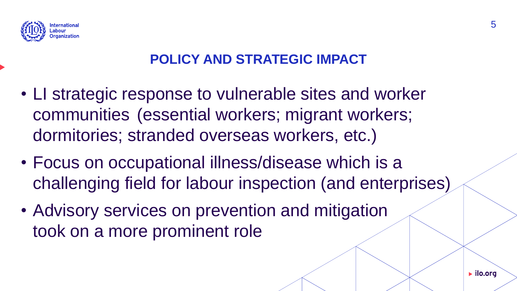

#### **POLICY AND STRATEGIC IMPACT**

- LI strategic response to vulnerable sites and worker communities (essential workers; migrant workers; dormitories; stranded overseas workers, etc.)
- Focus on occupational illness/disease which is a challenging field for labour inspection (and enterprises)
- Advisory services on prevention and mitigation took on a more prominent role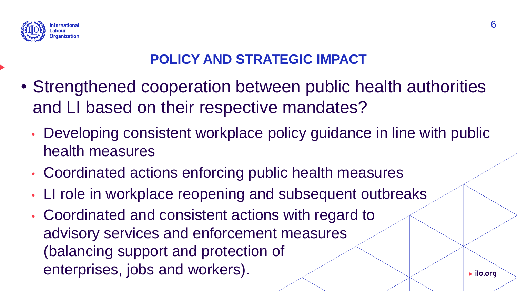

#### **POLICY AND STRATEGIC IMPACT**

- Strengthened cooperation between public health authorities and LI based on their respective mandates?
	- Developing consistent workplace policy guidance in line with public health measures
	- Coordinated actions enforcing public health measures
	- LI role in workplace reopening and subsequent outbreaks
	- Coordinated and consistent actions with regard to advisory services and enforcement measures (balancing support and protection of enterprises, jobs and workers).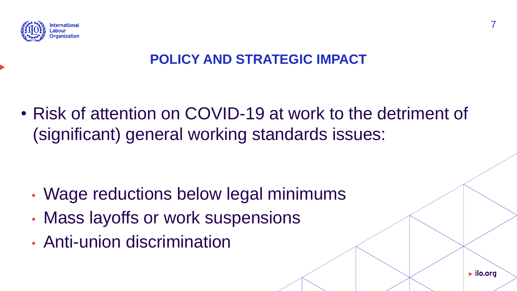

#### **POLICY AND STRATEGIC IMPACT**

• Risk of attention on COVID-19 at work to the detriment of (significant) general working standards issues:

- Wage reductions below legal minimums
- Mass layoffs or work suspensions
- Anti-union discrimination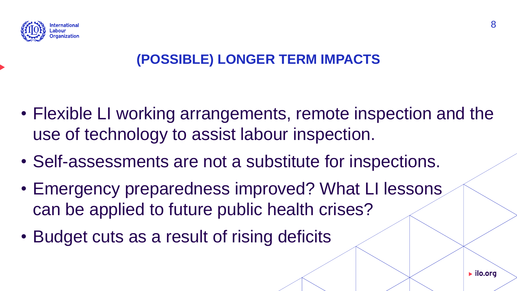

### **(POSSIBLE) LONGER TERM IMPACTS**

- Flexible LI working arrangements, remote inspection and the use of technology to assist labour inspection.
- Self-assessments are not a substitute for inspections.
- Emergency preparedness improved? What LI lessons can be applied to future public health crises?
- Budget cuts as a result of rising deficits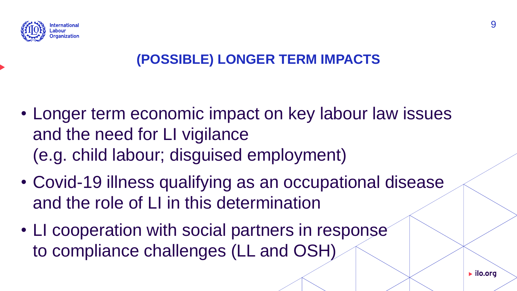

### **(POSSIBLE) LONGER TERM IMPACTS**

- Longer term economic impact on key labour law issues and the need for LI vigilance (e.g. child labour; disguised employment)
- Covid-19 illness qualifying as an occupational disease and the role of LI in this determination
- LI cooperation with social partners in response to compliance challenges (LL and OSH)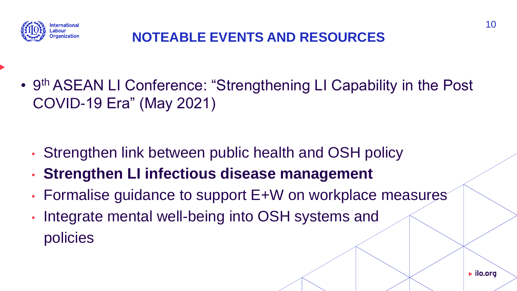

#### **NOTEABLE EVENTS AND RESOURCES**

• 9<sup>th</sup> ASEAN LI Conference: "Strengthening LI Capability in the Post COVID-19 Era" (May 2021)

- Strengthen link between public health and OSH policy
- **Strengthen LI infectious disease management**
- Formalise guidance to support E+W on workplace measures
- Integrate mental well-being into OSH systems and policies

10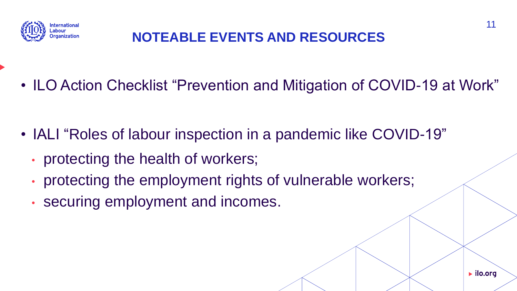

#### **NOTEABLE EVENTS AND RESOURCES**

• ILO Action Checklist "Prevention and Mitigation of COVID-19 at Work"

- IALI "Roles of labour inspection in a pandemic like COVID-19"
	- protecting the health of workers;
	- protecting the employment rights of vulnerable workers;
	- securing employment and incomes.